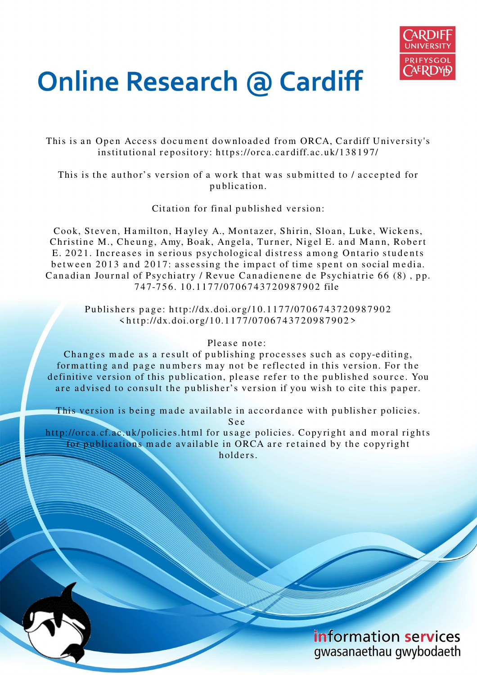

# **Online Research @ Cardiff**

This is an Open Access document downloaded from ORCA, Cardiff University's institutional repository: https://orca.cardiff.ac.uk/138197/

This is the author's version of a work that was submitted to / accepted for p u blication.

Citation for final published version:

Cook, Steven, Hamilton, Hayley A., Montazer, Shirin, Sloan, Luke, Wickens, Christine M., Cheung, Amy, Boak, Angela, Turner, Nigel E. and Mann, Robert E. 2021. Increases in serious psychological distress among Ontario students between 2013 and 2017: assessing the impact of time spent on social media. Canadian Journal of Psychiatry / Revue Canadienene de Psychiatrie 66 (8), pp. 7 4 7-7 5 6. 1 0.11 7 7/07 0 6 7 4 3 7 2 0 9 8 7 9 0 2 file

Publishers page: http://dx.doi.org/10.1177/0706743720987902  $\langle \text{http://dx.doi.org/10.1177/0706743720987902>}$ 

#### Please note:

Changes made as a result of publishing processes such as copy-editing, formatting and page numbers may not be reflected in this version. For the definitive version of this publication, please refer to the published source. You are advised to consult the publisher's version if you wish to cite this paper.

This version is being made available in accordance with publisher policies.

S e e

http://orca.cf.ac.uk/policies.html for usage policies. Copyright and moral rights for publications made available in ORCA are retained by the copyright holders.

> information services gwasanaethau gwybodaeth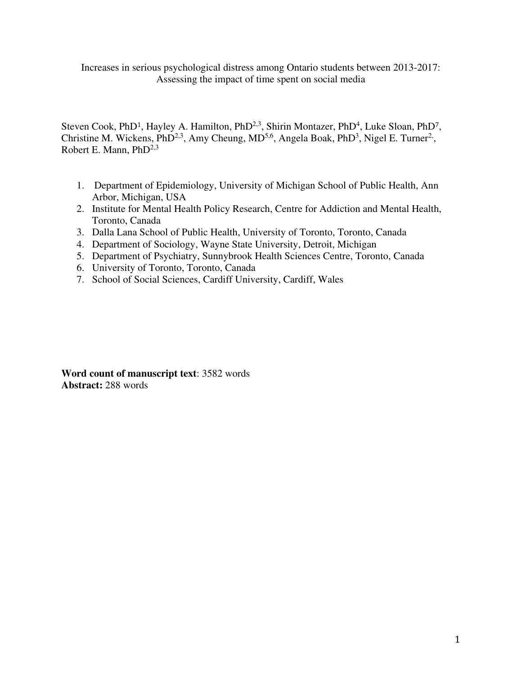Increases in serious psychological distress among Ontario students between 2013-2017: Assessing the impact of time spent on social media

Steven Cook, PhD<sup>1</sup>, Hayley A. Hamilton, PhD<sup>2,3</sup>, Shirin Montazer, PhD<sup>4</sup>, Luke Sloan, PhD<sup>7</sup>, Christine M. Wickens,  $PhD^{2,3}$ , Amy Cheung,  $MD^{5,6}$ , Angela Boak,  $PhD^3$ , Nigel E. Turner<sup>2</sup>, Robert E. Mann,  $PhD<sup>2,3</sup>$ 

- 1. Department of Epidemiology, University of Michigan School of Public Health, Ann Arbor, Michigan, USA
- 2. Institute for Mental Health Policy Research, Centre for Addiction and Mental Health, Toronto, Canada
- 3. Dalla Lana School of Public Health, University of Toronto, Toronto, Canada
- 4. Department of Sociology, Wayne State University, Detroit, Michigan
- 5. Department of Psychiatry, Sunnybrook Health Sciences Centre, Toronto, Canada
- 6. University of Toronto, Toronto, Canada
- 7. School of Social Sciences, Cardiff University, Cardiff, Wales

**Word count of manuscript text**: 3582 words **Abstract:** 288 words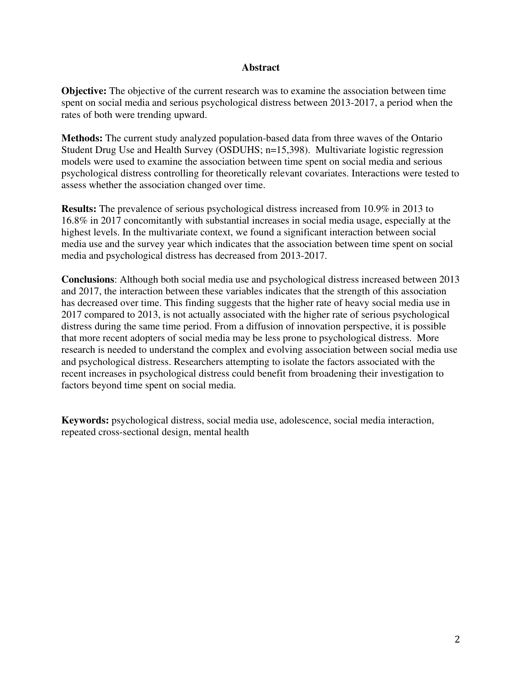#### **Abstract**

**Objective:** The objective of the current research was to examine the association between time spent on social media and serious psychological distress between 2013-2017, a period when the rates of both were trending upward.

**Methods:** The current study analyzed population-based data from three waves of the Ontario Student Drug Use and Health Survey (OSDUHS; n=15,398). Multivariate logistic regression models were used to examine the association between time spent on social media and serious psychological distress controlling for theoretically relevant covariates. Interactions were tested to assess whether the association changed over time.

**Results:** The prevalence of serious psychological distress increased from 10.9% in 2013 to 16.8% in 2017 concomitantly with substantial increases in social media usage, especially at the highest levels. In the multivariate context, we found a significant interaction between social media use and the survey year which indicates that the association between time spent on social media and psychological distress has decreased from 2013-2017.

**Conclusions**: Although both social media use and psychological distress increased between 2013 and 2017, the interaction between these variables indicates that the strength of this association has decreased over time. This finding suggests that the higher rate of heavy social media use in 2017 compared to 2013, is not actually associated with the higher rate of serious psychological distress during the same time period. From a diffusion of innovation perspective, it is possible that more recent adopters of social media may be less prone to psychological distress. More research is needed to understand the complex and evolving association between social media use and psychological distress. Researchers attempting to isolate the factors associated with the recent increases in psychological distress could benefit from broadening their investigation to factors beyond time spent on social media.

**Keywords:** psychological distress, social media use, adolescence, social media interaction, repeated cross-sectional design, mental health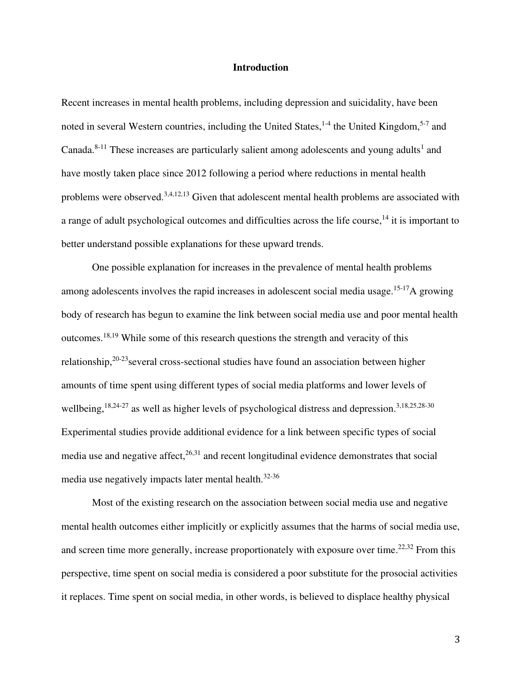#### **Introduction**

Recent increases in mental health problems, including depression and suicidality, have been noted in several Western countries, including the United States,  $1-4$  the United Kingdom,  $5-7$  and Canada. $8-11$  These increases are particularly salient among adolescents and young adults<sup>1</sup> and have mostly taken place since 2012 following a period where reductions in mental health problems were observed.3,4,12,13 Given that adolescent mental health problems are associated with a range of adult psychological outcomes and difficulties across the life course,<sup>14</sup> it is important to better understand possible explanations for these upward trends.

One possible explanation for increases in the prevalence of mental health problems among adolescents involves the rapid increases in adolescent social media usage.<sup>15-17</sup>A growing body of research has begun to examine the link between social media use and poor mental health outcomes.18,19 While some of this research questions the strength and veracity of this relationship,  $20-23$  several cross-sectional studies have found an association between higher amounts of time spent using different types of social media platforms and lower levels of wellbeing,<sup>18,24-27</sup> as well as higher levels of psychological distress and depression.<sup>3,18,25,28-30</sup> Experimental studies provide additional evidence for a link between specific types of social media use and negative affect,<sup>26,31</sup> and recent longitudinal evidence demonstrates that social media use negatively impacts later mental health.32-36

Most of the existing research on the association between social media use and negative mental health outcomes either implicitly or explicitly assumes that the harms of social media use, and screen time more generally, increase proportionately with exposure over time.<sup>22,32</sup> From this perspective, time spent on social media is considered a poor substitute for the prosocial activities it replaces. Time spent on social media, in other words, is believed to displace healthy physical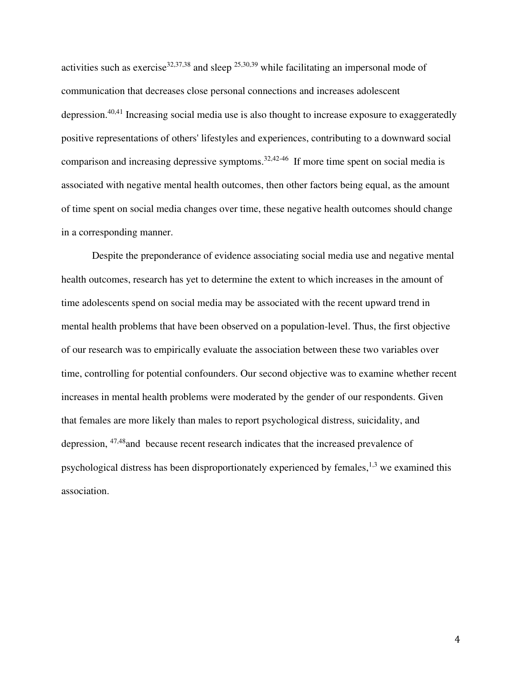activities such as exercise<sup>32,37,38</sup> and sleep <sup>25,30,39</sup> while facilitating an impersonal mode of communication that decreases close personal connections and increases adolescent depression.40,41 Increasing social media use is also thought to increase exposure to exaggeratedly positive representations of others' lifestyles and experiences, contributing to a downward social comparison and increasing depressive symptoms. $32,42-46$  If more time spent on social media is associated with negative mental health outcomes, then other factors being equal, as the amount of time spent on social media changes over time, these negative health outcomes should change in a corresponding manner.

Despite the preponderance of evidence associating social media use and negative mental health outcomes, research has yet to determine the extent to which increases in the amount of time adolescents spend on social media may be associated with the recent upward trend in mental health problems that have been observed on a population-level. Thus, the first objective of our research was to empirically evaluate the association between these two variables over time, controlling for potential confounders. Our second objective was to examine whether recent increases in mental health problems were moderated by the gender of our respondents. Given that females are more likely than males to report psychological distress, suicidality, and depression, 47,48and because recent research indicates that the increased prevalence of psychological distress has been disproportionately experienced by females,  $^{1,3}$  we examined this association.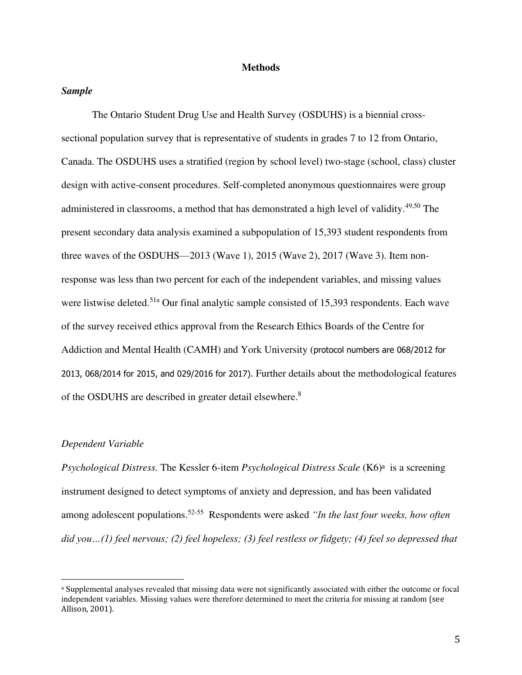#### **Methods**

#### *Sample*

The Ontario Student Drug Use and Health Survey (OSDUHS) is a biennial crosssectional population survey that is representative of students in grades 7 to 12 from Ontario, Canada. The OSDUHS uses a stratified (region by school level) two-stage (school, class) cluster design with active-consent procedures. Self-completed anonymous questionnaires were group administered in classrooms, a method that has demonstrated a high level of validity.<sup>49,50</sup> The present secondary data analysis examined a subpopulation of 15,393 student respondents from three waves of the OSDUHS—2013 (Wave 1), 2015 (Wave 2), 2017 (Wave 3). Item nonresponse was less than two percent for each of the independent variables, and missing values were listwise deleted.<sup>51a</sup> Our final analytic sample consisted of 15,393 respondents. Each wave of the survey received ethics approval from the Research Ethics Boards of the Centre for Addiction and Mental Health (CAMH) and York University (protocol numbers are 068/2012 for 2013, 068/2014 for 2015, and 029/2016 for 2017). Further details about the methodological features of the OSDUHS are described in greater detail elsewhere.<sup>8</sup>

#### *Dependent Variable*

Psychological Distress. The Kessler 6-item *Psychological Distress Scale* (K6)<sup>a</sup> is a screening instrument designed to detect symptoms of anxiety and depression, and has been validated among adolescent populations.52-55 Respondents were asked *"In the last four weeks, how often did you…(1) feel nervous; (2) feel hopeless; (3) feel restless or fidgety; (4) feel so depressed that* 

<sup>a</sup> Supplemental analyses revealed that missing data were not significantly associated with either the outcome or focal independent variables. Missing values were therefore determined to meet the criteria for missing at random (see Allison, 2001).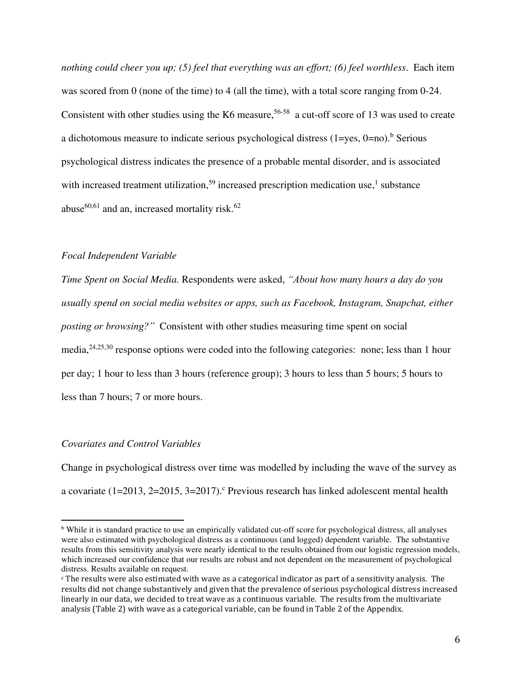*nothing could cheer you up; (5) feel that everything was an effort; (6) feel worthless*. Each item was scored from 0 (none of the time) to 4 (all the time), with a total score ranging from 0-24. Consistent with other studies using the K6 measure,  $56-58$  a cut-off score of 13 was used to create a dichotomous measure to indicate serious psychological distress  $(1 = yes, 0 = no)$ .<sup>b</sup> Serious psychological distress indicates the presence of a probable mental disorder, and is associated with increased treatment utilization,<sup>59</sup> increased prescription medication use,<sup>1</sup> substance abuse<sup>60,61</sup> and an, increased mortality risk.<sup>62</sup>

#### *Focal Independent Variable*

*Time Spent on Social Media.* Respondents were asked, *"About how many hours a day do you usually spend on social media websites or apps, such as Facebook, Instagram, Snapchat, either posting or browsing?"* Consistent with other studies measuring time spent on social media,24,25,30 response options were coded into the following categories: none; less than 1 hour per day; 1 hour to less than 3 hours (reference group); 3 hours to less than 5 hours; 5 hours to less than 7 hours; 7 or more hours.

#### *Covariates and Control Variables*

Change in psychological distress over time was modelled by including the wave of the survey as a covariate  $(1=2013, 2=2015, 3=2017)$ . Previous research has linked adolescent mental health

<sup>&</sup>lt;sup>b</sup> While it is standard practice to use an empirically validated cut-off score for psychological distress, all analyses were also estimated with psychological distress as a continuous (and logged) dependent variable. The substantive results from this sensitivity analysis were nearly identical to the results obtained from our logistic regression models, which increased our confidence that our results are robust and not dependent on the measurement of psychological distress. Results available on request.

c The results were also estimated with wave as a categorical indicator as part of a sensitivity analysis. The results did not change substantively and given that the prevalence of serious psychological distress increased linearly in our data, we decided to treat wave as a continuous variable. The results from the multivariate analysis (Table 2) with wave as a categorical variable, can be found in Table 2 of the Appendix.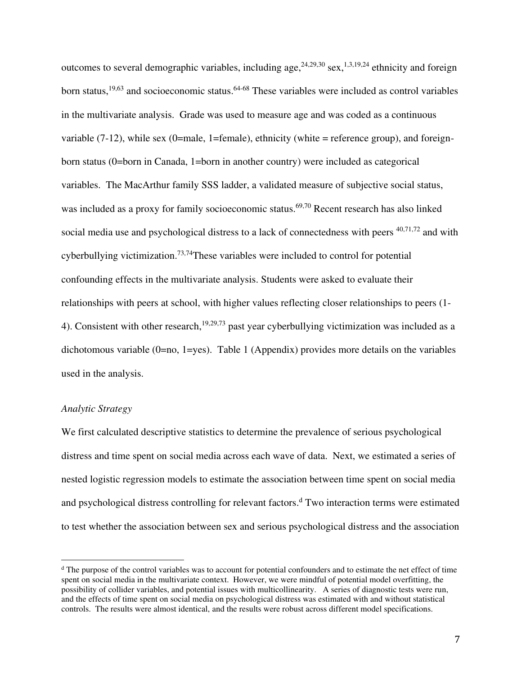outcomes to several demographic variables, including age,  $24,29,30$  sex,  $1,3,19,24$  ethnicity and foreign born status,<sup>19,63</sup> and socioeconomic status.<sup>64-68</sup> These variables were included as control variables in the multivariate analysis. Grade was used to measure age and was coded as a continuous variable  $(7-12)$ , while sex  $(0)$ =male, 1=female), ethnicity (white = reference group), and foreignborn status (0=born in Canada, 1=born in another country) were included as categorical variables. The MacArthur family SSS ladder, a validated measure of subjective social status, was included as a proxy for family socioeconomic status.<sup>69,70</sup> Recent research has also linked social media use and psychological distress to a lack of connectedness with peers  $40,71,72$  and with cyberbullying victimization.73,74These variables were included to control for potential confounding effects in the multivariate analysis. Students were asked to evaluate their relationships with peers at school, with higher values reflecting closer relationships to peers (1- 4). Consistent with other research,<sup>19,29,73</sup> past year cyberbullying victimization was included as a dichotomous variable  $(0=no, 1=yes)$ . Table 1 (Appendix) provides more details on the variables used in the analysis.

#### *Analytic Strategy*

We first calculated descriptive statistics to determine the prevalence of serious psychological distress and time spent on social media across each wave of data. Next, we estimated a series of nested logistic regression models to estimate the association between time spent on social media and psychological distress controlling for relevant factors.<sup>d</sup> Two interaction terms were estimated to test whether the association between sex and serious psychological distress and the association

<sup>&</sup>lt;sup>d</sup> The purpose of the control variables was to account for potential confounders and to estimate the net effect of time spent on social media in the multivariate context. However, we were mindful of potential model overfitting, the possibility of collider variables, and potential issues with multicollinearity. A series of diagnostic tests were run, and the effects of time spent on social media on psychological distress was estimated with and without statistical controls. The results were almost identical, and the results were robust across different model specifications.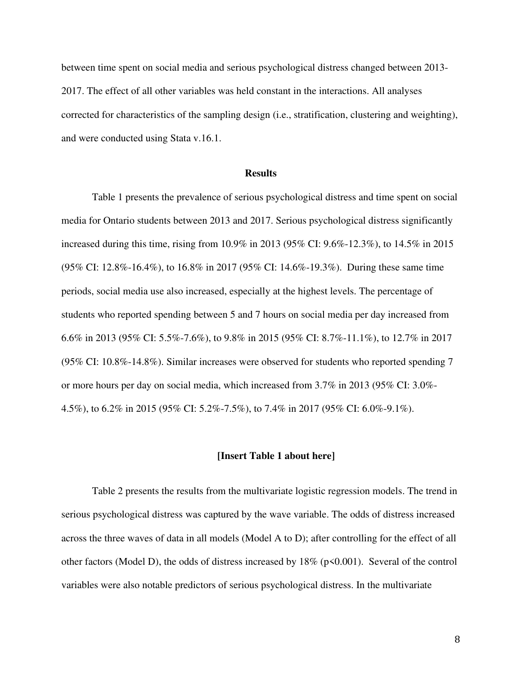between time spent on social media and serious psychological distress changed between 2013- 2017. The effect of all other variables was held constant in the interactions. All analyses corrected for characteristics of the sampling design (i.e., stratification, clustering and weighting), and were conducted using Stata v.16.1.

#### **Results**

Table 1 presents the prevalence of serious psychological distress and time spent on social media for Ontario students between 2013 and 2017. Serious psychological distress significantly increased during this time, rising from 10.9% in 2013 (95% CI: 9.6%-12.3%), to 14.5% in 2015 (95% CI: 12.8%-16.4%), to 16.8% in 2017 (95% CI: 14.6%-19.3%). During these same time periods, social media use also increased, especially at the highest levels. The percentage of students who reported spending between 5 and 7 hours on social media per day increased from 6.6% in 2013 (95% CI: 5.5%-7.6%), to 9.8% in 2015 (95% CI: 8.7%-11.1%), to 12.7% in 2017 (95% CI: 10.8%-14.8%). Similar increases were observed for students who reported spending 7 or more hours per day on social media, which increased from 3.7% in 2013 (95% CI: 3.0%- 4.5%), to 6.2% in 2015 (95% CI: 5.2%-7.5%), to 7.4% in 2017 (95% CI: 6.0%-9.1%).

#### **[Insert Table 1 about here]**

Table 2 presents the results from the multivariate logistic regression models. The trend in serious psychological distress was captured by the wave variable. The odds of distress increased across the three waves of data in all models (Model A to D); after controlling for the effect of all other factors (Model D), the odds of distress increased by 18% (p<0.001). Several of the control variables were also notable predictors of serious psychological distress. In the multivariate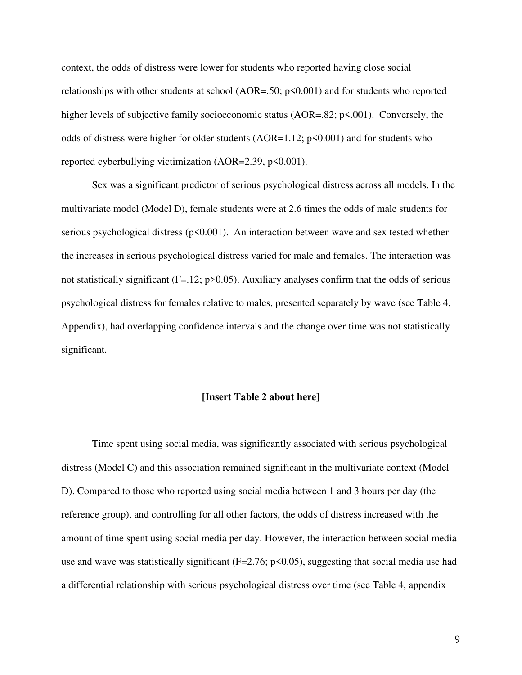context, the odds of distress were lower for students who reported having close social relationships with other students at school ( $AOR = .50$ ; p<0.001) and for students who reported higher levels of subjective family socioeconomic status (AOR=.82; p<.001). Conversely, the odds of distress were higher for older students  $(AOR=1.12; p<0.001)$  and for students who reported cyberbullying victimization (AOR=2.39,  $p$ <0.001).

 Sex was a significant predictor of serious psychological distress across all models. In the multivariate model (Model D), female students were at 2.6 times the odds of male students for serious psychological distress ( $p<0.001$ ). An interaction between wave and sex tested whether the increases in serious psychological distress varied for male and females. The interaction was not statistically significant (F=.12; p>0.05). Auxiliary analyses confirm that the odds of serious psychological distress for females relative to males, presented separately by wave (see Table 4, Appendix), had overlapping confidence intervals and the change over time was not statistically significant.

#### **[Insert Table 2 about here]**

Time spent using social media, was significantly associated with serious psychological distress (Model C) and this association remained significant in the multivariate context (Model D). Compared to those who reported using social media between 1 and 3 hours per day (the reference group), and controlling for all other factors, the odds of distress increased with the amount of time spent using social media per day. However, the interaction between social media use and wave was statistically significant ( $F=2.76$ ;  $p<0.05$ ), suggesting that social media use had a differential relationship with serious psychological distress over time (see Table 4, appendix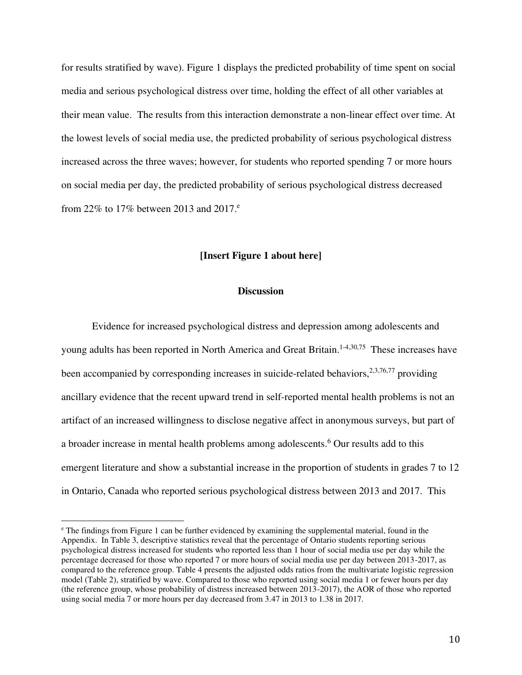for results stratified by wave). Figure 1 displays the predicted probability of time spent on social media and serious psychological distress over time, holding the effect of all other variables at their mean value. The results from this interaction demonstrate a non-linear effect over time. At the lowest levels of social media use, the predicted probability of serious psychological distress increased across the three waves; however, for students who reported spending 7 or more hours on social media per day, the predicted probability of serious psychological distress decreased from 22% to 17% between 2013 and 2017.<sup>e</sup>

#### **[Insert Figure 1 about here]**

#### **Discussion**

Evidence for increased psychological distress and depression among adolescents and young adults has been reported in North America and Great Britain.<sup>1-4,30,75</sup> These increases have been accompanied by corresponding increases in suicide-related behaviors,  $2,3,76,77$  providing ancillary evidence that the recent upward trend in self-reported mental health problems is not an artifact of an increased willingness to disclose negative affect in anonymous surveys, but part of a broader increase in mental health problems among adolescents.<sup>6</sup> Our results add to this emergent literature and show a substantial increase in the proportion of students in grades 7 to 12 in Ontario, Canada who reported serious psychological distress between 2013 and 2017. This

<sup>&</sup>lt;sup>e</sup> The findings from Figure 1 can be further evidenced by examining the supplemental material, found in the Appendix. In Table 3, descriptive statistics reveal that the percentage of Ontario students reporting serious psychological distress increased for students who reported less than 1 hour of social media use per day while the percentage decreased for those who reported 7 or more hours of social media use per day between 2013-2017, as compared to the reference group. Table 4 presents the adjusted odds ratios from the multivariate logistic regression model (Table 2), stratified by wave. Compared to those who reported using social media 1 or fewer hours per day (the reference group, whose probability of distress increased between 2013-2017), the AOR of those who reported using social media 7 or more hours per day decreased from 3.47 in 2013 to 1.38 in 2017.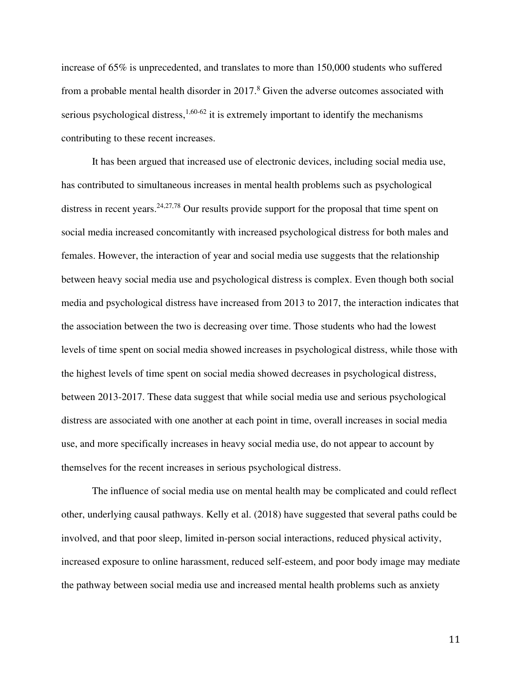increase of 65% is unprecedented, and translates to more than 150,000 students who suffered from a probable mental health disorder in 2017.<sup>8</sup> Given the adverse outcomes associated with serious psychological distress,<sup>1,60-62</sup> it is extremely important to identify the mechanisms contributing to these recent increases.

It has been argued that increased use of electronic devices, including social media use, has contributed to simultaneous increases in mental health problems such as psychological distress in recent years.<sup>24,27,78</sup> Our results provide support for the proposal that time spent on social media increased concomitantly with increased psychological distress for both males and females. However, the interaction of year and social media use suggests that the relationship between heavy social media use and psychological distress is complex. Even though both social media and psychological distress have increased from 2013 to 2017, the interaction indicates that the association between the two is decreasing over time. Those students who had the lowest levels of time spent on social media showed increases in psychological distress, while those with the highest levels of time spent on social media showed decreases in psychological distress, between 2013-2017. These data suggest that while social media use and serious psychological distress are associated with one another at each point in time, overall increases in social media use, and more specifically increases in heavy social media use, do not appear to account by themselves for the recent increases in serious psychological distress.

The influence of social media use on mental health may be complicated and could reflect other, underlying causal pathways. Kelly et al. (2018) have suggested that several paths could be involved, and that poor sleep, limited in-person social interactions, reduced physical activity, increased exposure to online harassment, reduced self-esteem, and poor body image may mediate the pathway between social media use and increased mental health problems such as anxiety

11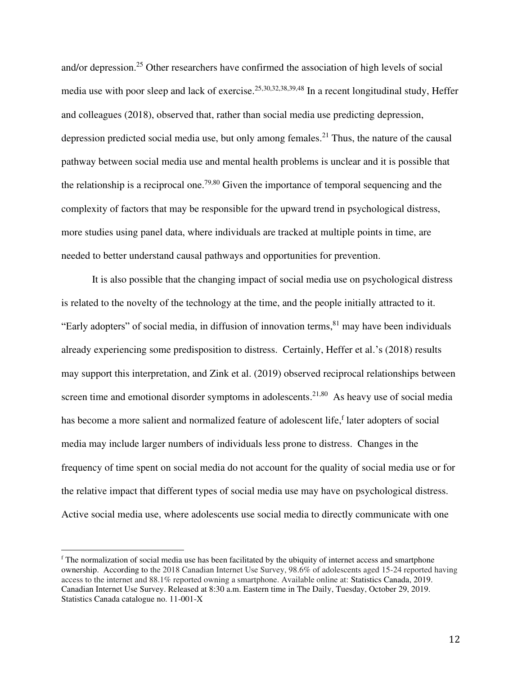and/or depression.<sup>25</sup> Other researchers have confirmed the association of high levels of social media use with poor sleep and lack of exercise.  $25,30,32,38,39,48$  In a recent longitudinal study, Heffer and colleagues (2018), observed that, rather than social media use predicting depression, depression predicted social media use, but only among females.<sup>21</sup> Thus, the nature of the causal pathway between social media use and mental health problems is unclear and it is possible that the relationship is a reciprocal one.<sup>79,80</sup> Given the importance of temporal sequencing and the complexity of factors that may be responsible for the upward trend in psychological distress, more studies using panel data, where individuals are tracked at multiple points in time, are needed to better understand causal pathways and opportunities for prevention.

It is also possible that the changing impact of social media use on psychological distress is related to the novelty of the technology at the time, and the people initially attracted to it. "Early adopters" of social media, in diffusion of innovation terms,  $81$  may have been individuals already experiencing some predisposition to distress. Certainly, Heffer et al.'s (2018) results may support this interpretation, and Zink et al. (2019) observed reciprocal relationships between screen time and emotional disorder symptoms in adolescents.<sup>21,80</sup> As heavy use of social media has become a more salient and normalized feature of adolescent life, later adopters of social media may include larger numbers of individuals less prone to distress. Changes in the frequency of time spent on social media do not account for the quality of social media use or for the relative impact that different types of social media use may have on psychological distress. Active social media use, where adolescents use social media to directly communicate with one

f The normalization of social media use has been facilitated by the ubiquity of internet access and smartphone ownership. According to the 2018 Canadian Internet Use Survey, 98.6% of adolescents aged 15-24 reported having access to the internet and 88.1% reported owning a smartphone. Available online at: Statistics Canada, 2019. Canadian Internet Use Survey. Released at 8:30 a.m. Eastern time in The Daily, Tuesday, October 29, 2019. Statistics Canada catalogue no. 11-001-X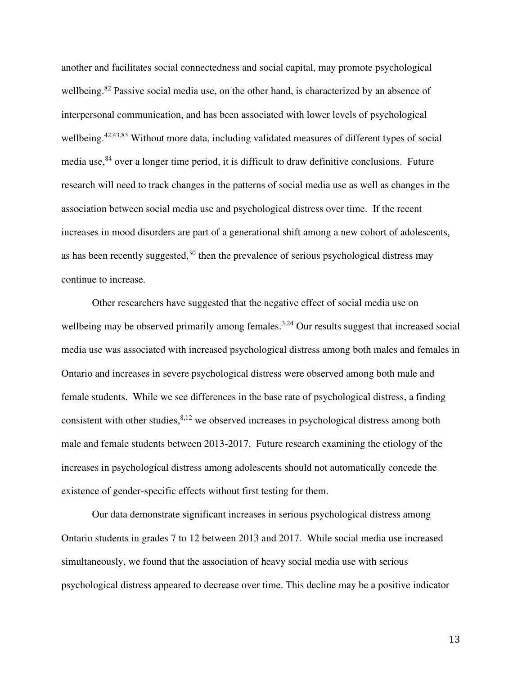another and facilitates social connectedness and social capital, may promote psychological wellbeing.<sup>82</sup> Passive social media use, on the other hand, is characterized by an absence of interpersonal communication, and has been associated with lower levels of psychological wellbeing.<sup>42,43,83</sup> Without more data, including validated measures of different types of social media use,<sup>84</sup> over a longer time period, it is difficult to draw definitive conclusions. Future research will need to track changes in the patterns of social media use as well as changes in the association between social media use and psychological distress over time. If the recent increases in mood disorders are part of a generational shift among a new cohort of adolescents, as has been recently suggested,  $30$  then the prevalence of serious psychological distress may continue to increase.

 Other researchers have suggested that the negative effect of social media use on wellbeing may be observed primarily among females.<sup>3,24</sup> Our results suggest that increased social media use was associated with increased psychological distress among both males and females in Ontario and increases in severe psychological distress were observed among both male and female students. While we see differences in the base rate of psychological distress, a finding consistent with other studies, $8,12$  we observed increases in psychological distress among both male and female students between 2013-2017. Future research examining the etiology of the increases in psychological distress among adolescents should not automatically concede the existence of gender-specific effects without first testing for them.

Our data demonstrate significant increases in serious psychological distress among Ontario students in grades 7 to 12 between 2013 and 2017. While social media use increased simultaneously, we found that the association of heavy social media use with serious psychological distress appeared to decrease over time. This decline may be a positive indicator

13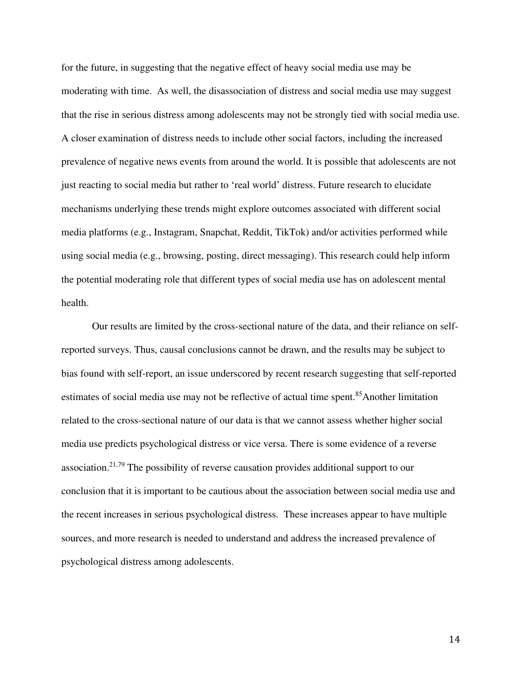for the future, in suggesting that the negative effect of heavy social media use may be moderating with time. As well, the disassociation of distress and social media use may suggest that the rise in serious distress among adolescents may not be strongly tied with social media use. A closer examination of distress needs to include other social factors, including the increased prevalence of negative news events from around the world. It is possible that adolescents are not just reacting to social media but rather to 'real world' distress. Future research to elucidate mechanisms underlying these trends might explore outcomes associated with different social media platforms (e.g., Instagram, Snapchat, Reddit, TikTok) and/or activities performed while using social media (e.g., browsing, posting, direct messaging). This research could help inform the potential moderating role that different types of social media use has on adolescent mental health.

 Our results are limited by the cross-sectional nature of the data, and their reliance on selfreported surveys. Thus, causal conclusions cannot be drawn, and the results may be subject to bias found with self-report, an issue underscored by recent research suggesting that self-reported estimates of social media use may not be reflective of actual time spent.<sup>85</sup>Another limitation related to the cross-sectional nature of our data is that we cannot assess whether higher social media use predicts psychological distress or vice versa. There is some evidence of a reverse association.<sup>21,79</sup> The possibility of reverse causation provides additional support to our conclusion that it is important to be cautious about the association between social media use and the recent increases in serious psychological distress. These increases appear to have multiple sources, and more research is needed to understand and address the increased prevalence of psychological distress among adolescents.

14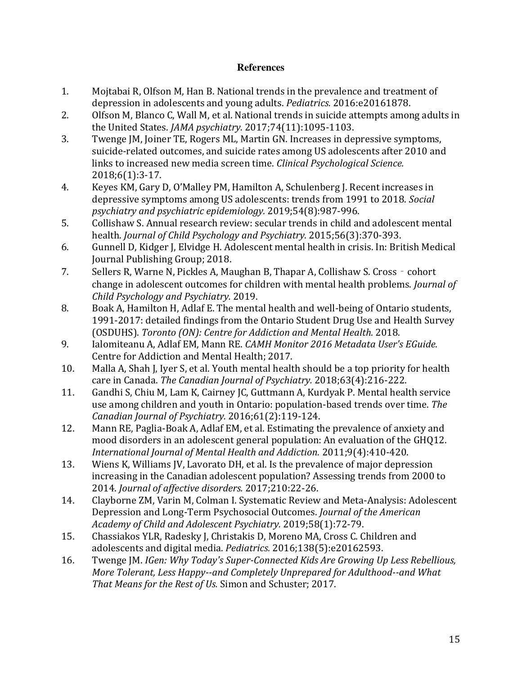### **References**

- 1. Mojtabai R, Olfson M, Han B. National trends in the prevalence and treatment of depression in adolescents and young adults. *Pediatrics.* 2016:e20161878.
- 2. Olfson M, Blanco C, Wall M, et al. National trends in suicide attempts among adults in the United States. *JAMA psychiatry.* 2017;74(11):1095-1103.
- 3. Twenge JM, Joiner TE, Rogers ML, Martin GN. Increases in depressive symptoms, suicide-related outcomes, and suicide rates among US adolescents after 2010 and links to increased new media screen time. *Clinical Psychological Science.*  2018;6(1):3-17.
- 4. Keyes KM, Gary D, O'Malley PM, Hamilton A, Schulenberg J. Recent increases in depressive symptoms among US adolescents: trends from 1991 to 2018. *Social psychiatry and psychiatric epidemiology.* 2019;54(8):987-996.
- 5. Collishaw S. Annual research review: secular trends in child and adolescent mental health. *Journal of Child Psychology and Psychiatry.* 2015;56(3):370-393.
- 6. Gunnell D, Kidger J, Elvidge H. Adolescent mental health in crisis. In: British Medical Journal Publishing Group; 2018.
- 7. Sellers R, Warne N, Pickles A, Maughan B, Thapar A, Collishaw S. Cross‐cohort change in adolescent outcomes for children with mental health problems. *Journal of Child Psychology and Psychiatry.* 2019.
- 8. Boak A, Hamilton H, Adlaf E. The mental health and well-being of Ontario students, 1991-2017: detailed findings from the Ontario Student Drug Use and Health Survey (OSDUHS). *Toronto (ON): Centre for Addiction and Mental Health.* 2018.
- 9. Ialomiteanu A, Adlaf EM, Mann RE. *CAMH Monitor 2016 Metadata User's EGuide.* Centre for Addiction and Mental Health; 2017.
- 10. Malla A, Shah J, Iyer S, et al. Youth mental health should be a top priority for health care in Canada. *The Canadian Journal of Psychiatry.* 2018;63(4):216-222.
- 11. Gandhi S, Chiu M, Lam K, Cairney JC, Guttmann A, Kurdyak P. Mental health service use among children and youth in Ontario: population-based trends over time. *The Canadian Journal of Psychiatry.* 2016;61(2):119-124.
- 12. Mann RE, Paglia-Boak A, Adlaf EM, et al. Estimating the prevalence of anxiety and mood disorders in an adolescent general population: An evaluation of the GHQ12. *International Journal of Mental Health and Addiction.* 2011;9(4):410-420.
- 13. Wiens K, Williams JV, Lavorato DH, et al. Is the prevalence of major depression increasing in the Canadian adolescent population? Assessing trends from 2000 to 2014. *Journal of affective disorders.* 2017;210:22-26.
- 14. Clayborne ZM, Varin M, Colman I. Systematic Review and Meta-Analysis: Adolescent Depression and Long-Term Psychosocial Outcomes. *Journal of the American Academy of Child and Adolescent Psychiatry.* 2019;58(1):72-79.
- 15. Chassiakos YLR, Radesky J, Christakis D, Moreno MA, Cross C. Children and adolescents and digital media. *Pediatrics.* 2016;138(5):e20162593.
- 16. Twenge JM. *IGen: Why Today's Super-Connected Kids Are Growing Up Less Rebellious, More Tolerant, Less Happy--and Completely Unprepared for Adulthood--and What That Means for the Rest of Us.* Simon and Schuster; 2017.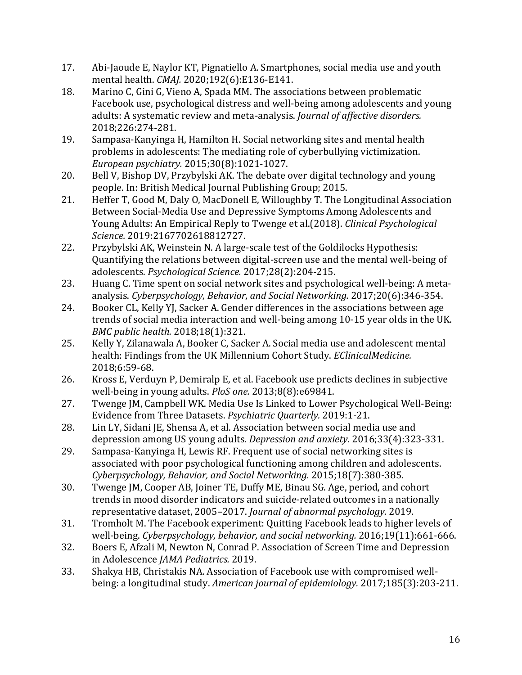- 17. Abi-Jaoude E, Naylor KT, Pignatiello A. Smartphones, social media use and youth mental health. *CMAJ.* 2020;192(6):E136-E141.
- 18. Marino C, Gini G, Vieno A, Spada MM. The associations between problematic Facebook use, psychological distress and well-being among adolescents and young adults: A systematic review and meta-analysis. *Journal of affective disorders.*  2018;226:274-281.
- 19. Sampasa-Kanyinga H, Hamilton H. Social networking sites and mental health problems in adolescents: The mediating role of cyberbullying victimization. *European psychiatry.* 2015;30(8):1021-1027.
- 20. Bell V, Bishop DV, Przybylski AK. The debate over digital technology and young people. In: British Medical Journal Publishing Group; 2015.
- 21. Heffer T, Good M, Daly O, MacDonell E, Willoughby T. The Longitudinal Association Between Social-Media Use and Depressive Symptoms Among Adolescents and Young Adults: An Empirical Reply to Twenge et al.(2018). *Clinical Psychological Science.* 2019:2167702618812727.
- 22. Przybylski AK, Weinstein N. A large-scale test of the Goldilocks Hypothesis: Quantifying the relations between digital-screen use and the mental well-being of adolescents. *Psychological Science.* 2017;28(2):204-215.
- 23. Huang C. Time spent on social network sites and psychological well-being: A metaanalysis. *Cyberpsychology, Behavior, and Social Networking.* 2017;20(6):346-354.
- 24. Booker CL, Kelly YJ, Sacker A. Gender differences in the associations between age trends of social media interaction and well-being among 10-15 year olds in the UK. *BMC public health.* 2018;18(1):321.
- 25. Kelly Y, Zilanawala A, Booker C, Sacker A. Social media use and adolescent mental health: Findings from the UK Millennium Cohort Study. *EClinicalMedicine.*  2018;6:59-68.
- 26. Kross E, Verduyn P, Demiralp E, et al. Facebook use predicts declines in subjective well-being in young adults. *PloS one.* 2013;8(8):e69841.
- 27. Twenge JM, Campbell WK. Media Use Is Linked to Lower Psychological Well-Being: Evidence from Three Datasets. *Psychiatric Quarterly.* 2019:1-21.
- 28. Lin LY, Sidani JE, Shensa A, et al. Association between social media use and depression among US young adults. *Depression and anxiety.* 2016;33(4):323-331.
- 29. Sampasa-Kanyinga H, Lewis RF. Frequent use of social networking sites is associated with poor psychological functioning among children and adolescents. *Cyberpsychology, Behavior, and Social Networking.* 2015;18(7):380-385.
- 30. Twenge JM, Cooper AB, Joiner TE, Duffy ME, Binau SG. Age, period, and cohort trends in mood disorder indicators and suicide-related outcomes in a nationally representative dataset, 2005–2017. *Journal of abnormal psychology.* 2019.
- 31. Tromholt M. The Facebook experiment: Quitting Facebook leads to higher levels of well-being. *Cyberpsychology, behavior, and social networking.* 2016;19(11):661-666.
- 32. Boers E, Afzali M, Newton N, Conrad P. Association of Screen Time and Depression in Adolescence *JAMA Pediatrics.* 2019.
- 33. Shakya HB, Christakis NA. Association of Facebook use with compromised wellbeing: a longitudinal study. *American journal of epidemiology.* 2017;185(3):203-211.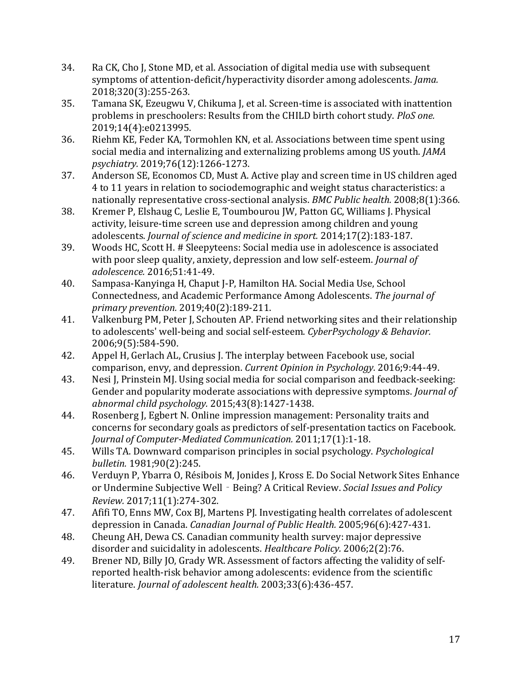- 34. Ra CK, Cho J, Stone MD, et al. Association of digital media use with subsequent symptoms of attention-deficit/hyperactivity disorder among adolescents. *Jama.*  2018;320(3):255-263.
- 35. Tamana SK, Ezeugwu V, Chikuma J, et al. Screen-time is associated with inattention problems in preschoolers: Results from the CHILD birth cohort study. *PloS one.*  2019;14(4):e0213995.
- 36. Riehm KE, Feder KA, Tormohlen KN, et al. Associations between time spent using social media and internalizing and externalizing problems among US youth. *JAMA psychiatry.* 2019;76(12):1266-1273.
- 37. Anderson SE, Economos CD, Must A. Active play and screen time in US children aged 4 to 11 years in relation to sociodemographic and weight status characteristics: a nationally representative cross-sectional analysis. *BMC Public health.* 2008;8(1):366.
- 38. Kremer P, Elshaug C, Leslie E, Toumbourou JW, Patton GC, Williams J. Physical activity, leisure-time screen use and depression among children and young adolescents. *Journal of science and medicine in sport.* 2014;17(2):183-187.
- 39. Woods HC, Scott H. # Sleepyteens: Social media use in adolescence is associated with poor sleep quality, anxiety, depression and low self-esteem. *Journal of adolescence.* 2016;51:41-49.
- 40. Sampasa-Kanyinga H, Chaput J-P, Hamilton HA. Social Media Use, School Connectedness, and Academic Performance Among Adolescents. *The journal of primary prevention.* 2019;40(2):189-211.
- 41. Valkenburg PM, Peter J, Schouten AP. Friend networking sites and their relationship to adolescents' well-being and social self-esteem. *CyberPsychology & Behavior.*  2006;9(5):584-590.
- 42. Appel H, Gerlach AL, Crusius J. The interplay between Facebook use, social comparison, envy, and depression. *Current Opinion in Psychology.* 2016;9:44-49.
- 43. Nesi J, Prinstein MJ. Using social media for social comparison and feedback-seeking: Gender and popularity moderate associations with depressive symptoms. *Journal of abnormal child psychology.* 2015;43(8):1427-1438.
- 44. Rosenberg J, Egbert N. Online impression management: Personality traits and concerns for secondary goals as predictors of self-presentation tactics on Facebook. *Journal of Computer-Mediated Communication.* 2011;17(1):1-18.
- 45. Wills TA. Downward comparison principles in social psychology. *Psychological bulletin.* 1981;90(2):245.
- 46. Verduyn P, Ybarra O, Résibois M, Jonides J, Kross E. Do Social Network Sites Enhance or Undermine Subjective Well‐Being? A Critical Review. *Social Issues and Policy Review.* 2017;11(1):274-302.
- 47. Afifi TO, Enns MW, Cox BJ, Martens PJ. Investigating health correlates of adolescent depression in Canada. *Canadian Journal of Public Health.* 2005;96(6):427-431.
- 48. Cheung AH, Dewa CS. Canadian community health survey: major depressive disorder and suicidality in adolescents. *Healthcare Policy.* 2006;2(2):76.
- 49. Brener ND, Billy JO, Grady WR. Assessment of factors affecting the validity of selfreported health-risk behavior among adolescents: evidence from the scientific literature. *Journal of adolescent health.* 2003;33(6):436-457.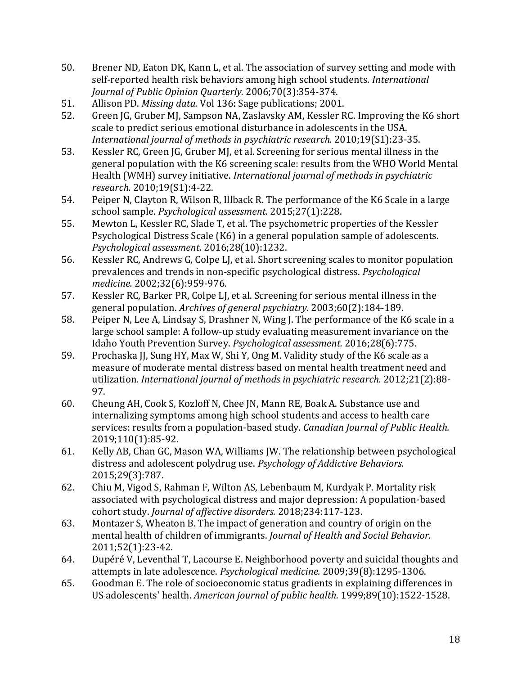- 50. Brener ND, Eaton DK, Kann L, et al. The association of survey setting and mode with self-reported health risk behaviors among high school students. *International Journal of Public Opinion Quarterly.* 2006;70(3):354-374.
- 51. Allison PD. *Missing data.* Vol 136: Sage publications; 2001.
- 52. Green JG, Gruber MJ, Sampson NA, Zaslavsky AM, Kessler RC. Improving the K6 short scale to predict serious emotional disturbance in adolescents in the USA. *International journal of methods in psychiatric research.* 2010;19(S1):23-35.
- 53. Kessler RC, Green JG, Gruber MJ, et al. Screening for serious mental illness in the general population with the K6 screening scale: results from the WHO World Mental Health (WMH) survey initiative. *International journal of methods in psychiatric research.* 2010;19(S1):4-22.
- 54. Peiper N, Clayton R, Wilson R, Illback R. The performance of the K6 Scale in a large school sample. *Psychological assessment.* 2015;27(1):228.
- 55. Mewton L, Kessler RC, Slade T, et al. The psychometric properties of the Kessler Psychological Distress Scale (K6) in a general population sample of adolescents. *Psychological assessment.* 2016;28(10):1232.
- 56. Kessler RC, Andrews G, Colpe LJ, et al. Short screening scales to monitor population prevalences and trends in non-specific psychological distress. *Psychological medicine.* 2002;32(6):959-976.
- 57. Kessler RC, Barker PR, Colpe LJ, et al. Screening for serious mental illness in the general population. *Archives of general psychiatry.* 2003;60(2):184-189.
- 58. Peiper N, Lee A, Lindsay S, Drashner N, Wing J. The performance of the K6 scale in a large school sample: A follow-up study evaluating measurement invariance on the Idaho Youth Prevention Survey. *Psychological assessment.* 2016;28(6):775.
- 59. Prochaska JJ, Sung HY, Max W, Shi Y, Ong M. Validity study of the K6 scale as a measure of moderate mental distress based on mental health treatment need and utilization. *International journal of methods in psychiatric research.* 2012;21(2):88- 97.
- 60. Cheung AH, Cook S, Kozloff N, Chee JN, Mann RE, Boak A. Substance use and internalizing symptoms among high school students and access to health care services: results from a population-based study. *Canadian Journal of Public Health.*  2019;110(1):85-92.
- 61. Kelly AB, Chan GC, Mason WA, Williams JW. The relationship between psychological distress and adolescent polydrug use. *Psychology of Addictive Behaviors.*  2015;29(3):787.
- 62. Chiu M, Vigod S, Rahman F, Wilton AS, Lebenbaum M, Kurdyak P. Mortality risk associated with psychological distress and major depression: A population-based cohort study. *Journal of affective disorders.* 2018;234:117-123.
- 63. Montazer S, Wheaton B. The impact of generation and country of origin on the mental health of children of immigrants. *Journal of Health and Social Behavior.*  2011;52(1):23-42.
- 64. Dupéré V, Leventhal T, Lacourse E. Neighborhood poverty and suicidal thoughts and attempts in late adolescence. *Psychological medicine.* 2009;39(8):1295-1306.
- 65. Goodman E. The role of socioeconomic status gradients in explaining differences in US adolescents' health. *American journal of public health.* 1999;89(10):1522-1528.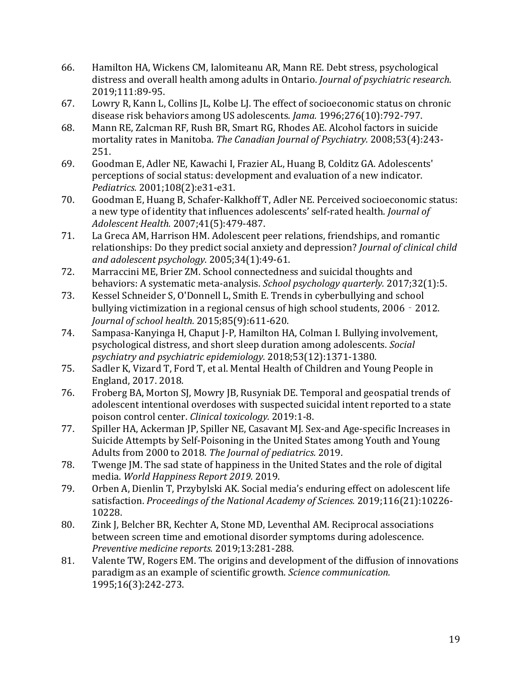- 66. Hamilton HA, Wickens CM, Ialomiteanu AR, Mann RE. Debt stress, psychological distress and overall health among adults in Ontario. *Journal of psychiatric research.*  2019;111:89-95.
- 67. Lowry R, Kann L, Collins JL, Kolbe LJ. The effect of socioeconomic status on chronic disease risk behaviors among US adolescents. *Jama.* 1996;276(10):792-797.
- 68. Mann RE, Zalcman RF, Rush BR, Smart RG, Rhodes AE. Alcohol factors in suicide mortality rates in Manitoba. *The Canadian Journal of Psychiatry.* 2008;53(4):243- 251.
- 69. Goodman E, Adler NE, Kawachi I, Frazier AL, Huang B, Colditz GA. Adolescents' perceptions of social status: development and evaluation of a new indicator. *Pediatrics.* 2001;108(2):e31-e31.
- 70. Goodman E, Huang B, Schafer-Kalkhoff T, Adler NE. Perceived socioeconomic status: a new type of identity that influences adolescents' self-rated health. *Journal of Adolescent Health.* 2007;41(5):479-487.
- 71. La Greca AM, Harrison HM. Adolescent peer relations, friendships, and romantic relationships: Do they predict social anxiety and depression? *Journal of clinical child and adolescent psychology.* 2005;34(1):49-61.
- 72. Marraccini ME, Brier ZM. School connectedness and suicidal thoughts and behaviors: A systematic meta-analysis. *School psychology quarterly.* 2017;32(1):5.
- 73. Kessel Schneider S, O'Donnell L, Smith E. Trends in cyberbullying and school bullying victimization in a regional census of high school students, 2006 - 2012. *Journal of school health.* 2015;85(9):611-620.
- 74. Sampasa-Kanyinga H, Chaput J-P, Hamilton HA, Colman I. Bullying involvement, psychological distress, and short sleep duration among adolescents. *Social psychiatry and psychiatric epidemiology.* 2018;53(12):1371-1380.
- 75. Sadler K, Vizard T, Ford T, et al. Mental Health of Children and Young People in England, 2017. 2018.
- 76. Froberg BA, Morton SJ, Mowry JB, Rusyniak DE. Temporal and geospatial trends of adolescent intentional overdoses with suspected suicidal intent reported to a state poison control center. *Clinical toxicology.* 2019:1-8.
- 77. Spiller HA, Ackerman JP, Spiller NE, Casavant MJ. Sex-and Age-specific Increases in Suicide Attempts by Self-Poisoning in the United States among Youth and Young Adults from 2000 to 2018. *The Journal of pediatrics.* 2019.
- 78. Twenge JM. The sad state of happiness in the United States and the role of digital media. *World Happiness Report 2019.* 2019.
- 79. Orben A, Dienlin T, Przybylski AK. Social media's enduring effect on adolescent life satisfaction. *Proceedings of the National Academy of Sciences.* 2019;116(21):10226- 10228.
- 80. Zink J, Belcher BR, Kechter A, Stone MD, Leventhal AM. Reciprocal associations between screen time and emotional disorder symptoms during adolescence. *Preventive medicine reports.* 2019;13:281-288.
- 81. Valente TW, Rogers EM. The origins and development of the diffusion of innovations paradigm as an example of scientific growth. *Science communication.*  1995;16(3):242-273.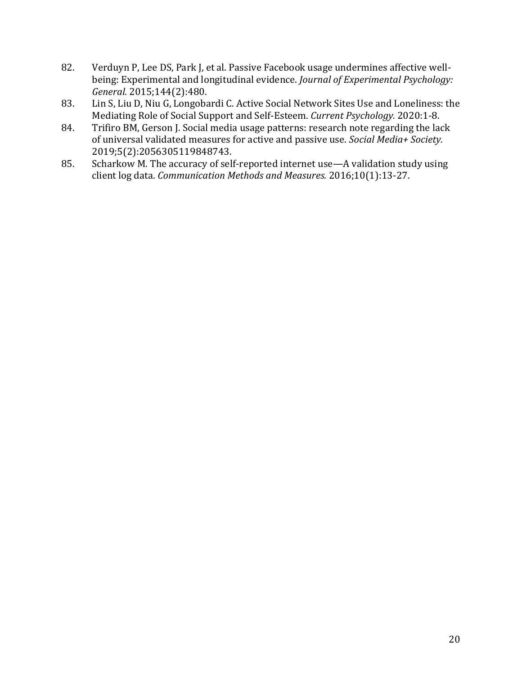- 82. Verduyn P, Lee DS, Park J, et al. Passive Facebook usage undermines affective wellbeing: Experimental and longitudinal evidence. *Journal of Experimental Psychology: General.* 2015;144(2):480.
- 83. Lin S, Liu D, Niu G, Longobardi C. Active Social Network Sites Use and Loneliness: the Mediating Role of Social Support and Self-Esteem. *Current Psychology.* 2020:1-8.
- 84. Trifiro BM, Gerson J. Social media usage patterns: research note regarding the lack of universal validated measures for active and passive use. *Social Media+ Society.*  2019;5(2):2056305119848743.
- 85. Scharkow M. The accuracy of self-reported internet use—A validation study using client log data. *Communication Methods and Measures.* 2016;10(1):13-27.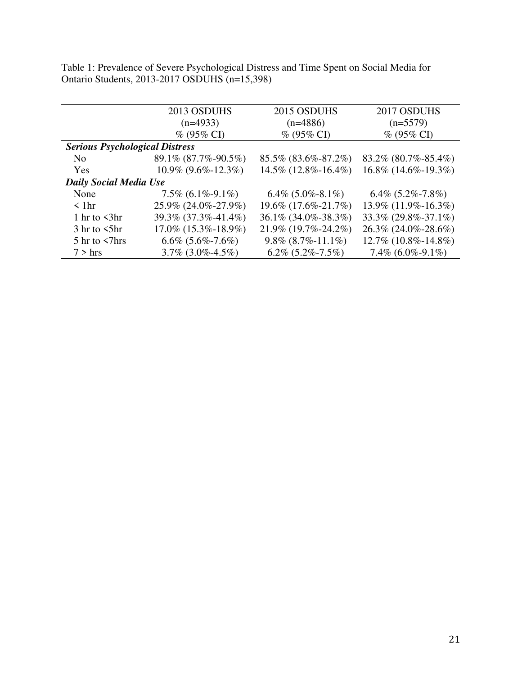Table 1: Prevalence of Severe Psychological Distress and Time Spent on Social Media for Ontario Students, 2013-2017 OSDUHS (n=15,398)

|                                       | 2013 OSDUHS                 | 2015 OSDUHS                | 2017 OSDUHS               |  |  |  |
|---------------------------------------|-----------------------------|----------------------------|---------------------------|--|--|--|
|                                       | $(n=4933)$                  | $(n=4886)$                 | $(n=5579)$                |  |  |  |
|                                       | $\%$ (95% CI)               | $\%$ (95% CI)              | $% (95\% CI)$             |  |  |  |
| <b>Serious Psychological Distress</b> |                             |                            |                           |  |  |  |
| N <sub>0</sub>                        | 89.1% (87.7%-90.5%)         | 85.5% (83.6%-87.2%)        | 83.2% (80.7%-85.4%)       |  |  |  |
| Yes                                   | $10.9\%$ $(9.6\% - 12.3\%)$ | $14.5\%$ (12.8%-16.4%)     | $16.8\%$ (14.6\%-19.3\%)  |  |  |  |
| <b>Daily Social Media Use</b>         |                             |                            |                           |  |  |  |
| None                                  | $7.5\%$ (6.1\%-9.1\%)       | $6.4\%$ $(5.0\% - 8.1\%)$  | $6.4\%$ $(5.2\% - 7.8\%)$ |  |  |  |
| $\leq 1$ hr                           | 25.9% (24.0%-27.9%)         | 19.6% (17.6%-21.7%)        | $13.9\%$ (11.9%-16.3%)    |  |  |  |
| 1 hr to $\langle 3hr$                 | 39.3% (37.3%-41.4%)         | 36.1% (34.0%-38.3%)        | 33.3% (29.8%-37.1%)       |  |  |  |
| $3 \text{ hr}$ to $5 \text{ hr}$      | $17.0\%$ (15.3%-18.9%)      | $21.9\%$ (19.7%-24.2%)     | 26.3% (24.0%-28.6%)       |  |  |  |
| $5 \text{ hr}$ to $\leq$ 7 hrs        | $6.6\%$ $(5.6\% - 7.6\%)$   | $9.8\%$ $(8.7\% - 11.1\%)$ | $12.7\%$ (10.8%-14.8%)    |  |  |  |
| $7 >$ hrs                             | $3.7\%$ $(3.0\% - 4.5\%)$   | $6.2\%$ $(5.2\% - 7.5\%)$  | $7.4\%$ (6.0%-9.1%)       |  |  |  |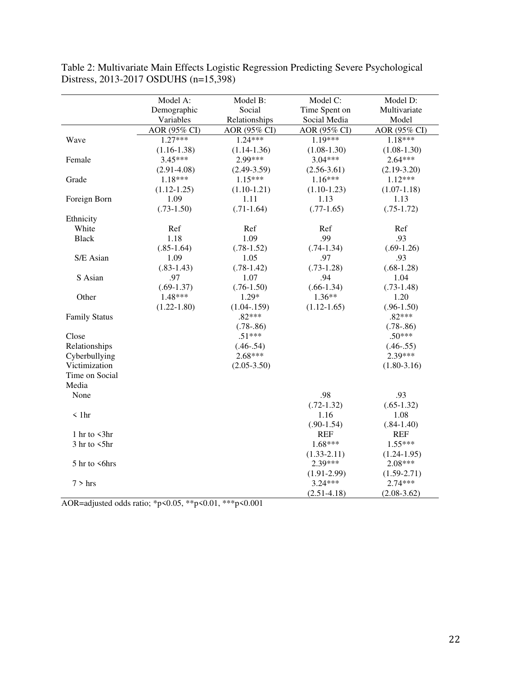|                        | Model A:        | Model B:                | Model C:        | Model D:        |
|------------------------|-----------------|-------------------------|-----------------|-----------------|
|                        | Demographic     | Social<br>Time Spent on |                 | Multivariate    |
|                        | Variables       | Relationships           | Social Media    | Model           |
|                        | AOR (95% CI)    | AOR (95% CI)            | AOR (95% CI)    | AOR (95% CI)    |
| Wave                   | $1.27***$       | $1.24***$               | 1.19***         | 1.18***         |
|                        | $(1.16-1.38)$   | $(1.14-1.36)$           | $(1.08 - 1.30)$ | $(1.08-1.30)$   |
| Female                 | $3.45***$       | 2.99***                 | $3.04***$       | $2.64***$       |
|                        | $(2.91 - 4.08)$ | $(2.49-3.59)$           | $(2.56 - 3.61)$ | $(2.19-3.20)$   |
| Grade                  | $1.18***$       | $1.15***$               | $1.16***$       | $1.12***$       |
|                        | $(1.12 - 1.25)$ | $(1.10-1.21)$           | $(1.10-1.23)$   | $(1.07-1.18)$   |
| Foreign Born           | 1.09            | 1.11                    | 1.13            | 1.13            |
|                        | $(.73-1.50)$    | $(.71-1.64)$            | $(.77-1.65)$    | $(.75-1.72)$    |
| Ethnicity              |                 |                         |                 |                 |
| White                  | Ref             | Ref                     | Ref             | Ref             |
| <b>Black</b>           | 1.18            | 1.09                    | .99             | .93             |
|                        | $(.85-1.64)$    | $(.78-1.52)$            | $(.74-1.34)$    | $(.69-1.26)$    |
| S/E Asian              | 1.09            | 1.05                    | .97             | .93             |
|                        | $(.83-1.43)$    | $(.78-1.42)$            | $(.73-1.28)$    | $(.68-1.28)$    |
| S Asian                | .97             | 1.07                    | .94             | 1.04            |
|                        | $(.69-1.37)$    | $(.76-1.50)$            | $(.66-1.34)$    | $(.73-1.48)$    |
| Other                  | 1.48***         | 1.29*                   | $1.36**$        | 1.20            |
|                        | $(1.22 - 1.80)$ | $(1.04 - 159)$          | $(1.12 - 1.65)$ | $(.96-1.50)$    |
| <b>Family Status</b>   |                 | $.82***$                |                 | $.82***$        |
|                        |                 | $(.78-.86)$             |                 | $(.78-.86)$     |
| Close                  |                 | $.51***$                |                 | $.50***$        |
| Relationships          |                 | $(.46-.54)$             |                 | $(.46-.55)$     |
| Cyberbullying          |                 | $2.68***$               |                 | 2.39***         |
| Victimization          |                 | $(2.05 - 3.50)$         |                 | $(1.80 - 3.16)$ |
| Time on Social         |                 |                         |                 |                 |
| Media                  |                 |                         |                 |                 |
| None                   |                 |                         | .98             | .93             |
|                        |                 |                         | $(.72-1.32)$    | $(.65-1.32)$    |
| $\langle$ 1hr          |                 |                         | 1.16            | 1.08            |
|                        |                 |                         | $(.90-1.54)$    | $(.84-1.40)$    |
| 1 hr to $\langle 3$ hr |                 |                         | <b>REF</b>      | <b>REF</b>      |
| $3$ hr to $5$ hr       |                 |                         | 1.68***         | $1.55***$       |
|                        |                 |                         | $(1.33 - 2.11)$ | $(1.24 - 1.95)$ |
| 5 hr to <6hrs          |                 |                         | 2.39***         | 2.08***         |
|                        |                 |                         | $(1.91 - 2.99)$ | $(1.59 - 2.71)$ |
| $7 >$ hrs              |                 |                         | 3.24***         | 2.74***         |
|                        |                 |                         | $(2.51 - 4.18)$ | $(2.08 - 3.62)$ |

Table 2: Multivariate Main Effects Logistic Regression Predicting Severe Psychological Distress, 2013-2017 OSDUHS (n=15,398)

AOR=adjusted odds ratio; \*p<0.05, \*\*p<0.01, \*\*\*p<0.001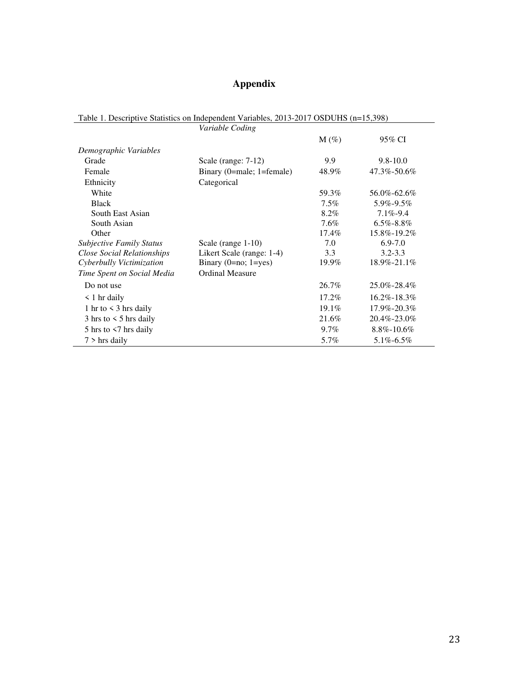## **Appendix**

| Table 1. Descriptive Statistics on Independent Variables, 2013-2017 OSDUHS (n=15,398) |                           |         |                  |  |  |
|---------------------------------------------------------------------------------------|---------------------------|---------|------------------|--|--|
|                                                                                       | Variable Coding           |         |                  |  |  |
|                                                                                       |                           | $M(\%)$ | 95% CI           |  |  |
| Demographic Variables                                                                 |                           |         |                  |  |  |
| Grade                                                                                 | Scale (range: 7-12)       | 9.9     | $9.8 - 10.0$     |  |  |
| Female                                                                                | Binary (0=male; 1=female) | 48.9%   | 47.3%-50.6%      |  |  |
| Ethnicity                                                                             | Categorical               |         |                  |  |  |
| White                                                                                 |                           | 59.3%   | 56.0%-62.6%      |  |  |
| <b>Black</b>                                                                          |                           | 7.5%    | 5.9%-9.5%        |  |  |
| South East Asian                                                                      |                           | 8.2%    | $7.1\% - 9.4$    |  |  |
| South Asian                                                                           |                           | $7.6\%$ | $6.5\% - 8.8\%$  |  |  |
| Other                                                                                 |                           | 17.4%   | 15.8%-19.2%      |  |  |
| <b>Subjective Family Status</b>                                                       | Scale (range 1-10)        | 7.0     | $6.9 - 7.0$      |  |  |
| <b>Close Social Relationships</b>                                                     | Likert Scale (range: 1-4) | 3.3     | $3.2 - 3.3$      |  |  |
| Cyberbully Victimization                                                              | Binary $(0=no; 1=yes)$    | 19.9%   | 18.9%-21.1%      |  |  |
| Time Spent on Social Media                                                            | <b>Ordinal Measure</b>    |         |                  |  |  |
| Do not use                                                                            |                           | 26.7%   | 25.0%-28.4%      |  |  |
| $\leq 1$ hr daily                                                                     |                           | 17.2%   | 16.2%-18.3%      |  |  |
| 1 hr to $\leq$ 3 hrs daily                                                            |                           | 19.1%   | 17.9%-20.3%      |  |  |
| $3 \text{ hrs}$ to $\leq 5 \text{ hrs}$ daily                                         |                           | 21.6%   | 20.4%-23.0%      |  |  |
| 5 hrs to $\leq$ 7 hrs daily                                                           |                           | $9.7\%$ | $8.8\% - 10.6\%$ |  |  |
| $7 >$ hrs daily                                                                       |                           | 5.7%    | $5.1\% - 6.5\%$  |  |  |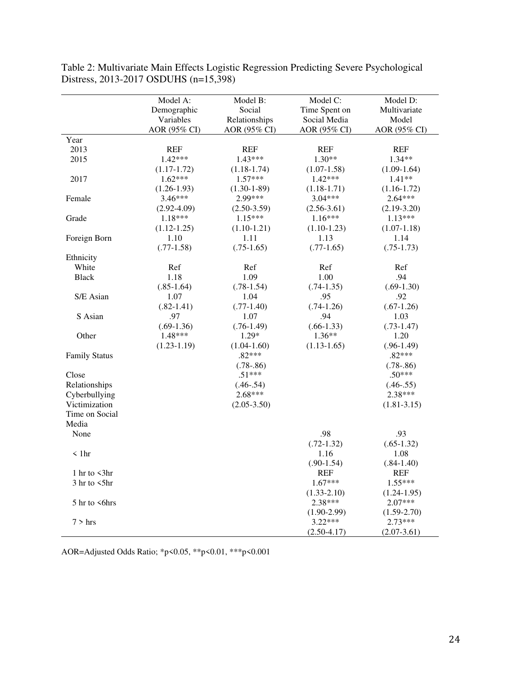|                       | Model A:        | Model B:          | Model C:        | Model D:        |
|-----------------------|-----------------|-------------------|-----------------|-----------------|
|                       | Demographic     | Social            | Time Spent on   | Multivariate    |
|                       | Variables       | Relationships     | Social Media    | Model           |
|                       | AOR (95% CI)    | AOR (95% CI)      | AOR (95% CI)    | AOR (95% CI)    |
| Year                  |                 |                   |                 |                 |
| 2013                  | <b>REF</b>      | <b>REF</b>        | <b>REF</b>      | <b>REF</b>      |
| 2015                  | $1.42***$       | $1.43***$         | $1.30**$        | $1.34**$        |
|                       | $(1.17-1.72)$   | $(1.18-1.74)$     | $(1.07-1.58)$   | $(1.09-1.64)$   |
| 2017                  | $1.62***$       | $1.57***$         | $1.42***$       | $1.41**$        |
|                       | $(1.26 - 1.93)$ | $(1.30 - 1 - 89)$ | $(1.18-1.71)$   | $(1.16 - 1.72)$ |
| Female                | $3.46***$       | 2.99***           | $3.04***$       | $2.64***$       |
|                       | $(2.92 - 4.09)$ | $(2.50-3.59)$     | $(2.56 - 3.61)$ | $(2.19-3.20)$   |
| Grade                 | 1.18***         | $1.15***$         | $1.16***$       | $1.13***$       |
|                       | $(1.12 - 1.25)$ | $(1.10-1.21)$     | $(1.10-1.23)$   | $(1.07-1.18)$   |
| Foreign Born          | 1.10            | 1.11              | 1.13            | 1.14            |
|                       | $(.77-1.58)$    | $(.75-1.65)$      | $(.77-1.65)$    | $(.75-1.73)$    |
| Ethnicity             |                 |                   |                 |                 |
| White                 | Ref             | Ref               | Ref             | Ref             |
| <b>Black</b>          | 1.18            | 1.09              | 1.00            | .94             |
|                       | $(.85-1.64)$    | $(.78-1.54)$      | $(.74-1.35)$    | $(.69-1.30)$    |
| S/E Asian             | 1.07            | 1.04              | .95             | .92             |
|                       | $(.82-1.41)$    | $(.77-1.40)$      | $(.74-1.26)$    | $(.67-1.26)$    |
| S Asian               | .97             | 1.07              | .94             | 1.03            |
|                       | $(.69-1.36)$    | $(.76-1.49)$      | $(.66-1.33)$    | $(.73-1.47)$    |
| Other                 | 1.48***         | $1.29*$           | $1.36**$        | 1.20            |
|                       | $(1.23 - 1.19)$ | $(1.04 - 1.60)$   | $(1.13-1.65)$   | $(.96-1.49)$    |
| <b>Family Status</b>  |                 | $.82***$          |                 | $.82***$        |
|                       |                 | $(.78-.86)$       |                 | $(.78-.86)$     |
| Close                 |                 | $.51***$          |                 | $.50***$        |
| Relationships         |                 | $(.46-.54)$       |                 | $(.46-.55)$     |
| Cyberbullying         |                 | $2.68***$         |                 | 2.38***         |
| Victimization         |                 | $(2.05 - 3.50)$   |                 | $(1.81 - 3.15)$ |
| Time on Social        |                 |                   |                 |                 |
| Media                 |                 |                   |                 |                 |
| None                  |                 |                   | .98             | .93             |
|                       |                 |                   | $(.72-1.32)$    | $(.65-1.32)$    |
| $\leq$ 1hr            |                 |                   | 1.16            | 1.08            |
|                       |                 |                   | $(.90-1.54)$    | $(.84-1.40)$    |
| 1 hr to $\langle 3hr$ |                 |                   | <b>REF</b>      | <b>REF</b>      |
| $3$ hr to $5$ hr      |                 |                   | $1.67***$       | $1.55***$       |
|                       |                 |                   | $(1.33 - 2.10)$ | $(1.24 - 1.95)$ |
| 5 hr to <6hrs         |                 |                   | 2.38***         | $2.07***$       |
|                       |                 |                   | $(1.90-2.99)$   | $(1.59 - 2.70)$ |
| $7 >$ hrs             |                 |                   | $3.22***$       | $2.73***$       |
|                       |                 |                   | $(2.50-4.17)$   | $(2.07-3.61)$   |

Table 2: Multivariate Main Effects Logistic Regression Predicting Severe Psychological Distress, 2013-2017 OSDUHS (n=15,398)

AOR=Adjusted Odds Ratio; \*p<0.05, \*\*p<0.01, \*\*\*p<0.001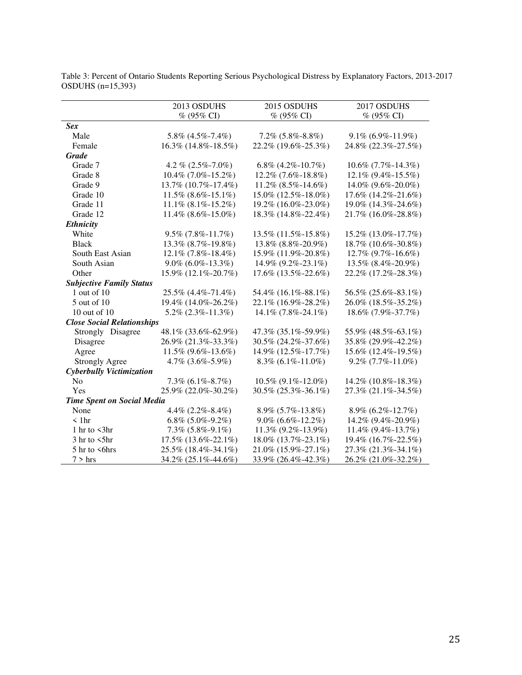|                                   | 2013 OSDUHS                  | 2015 OSDUHS                | 2017 OSDUHS            |
|-----------------------------------|------------------------------|----------------------------|------------------------|
|                                   | % (95% CI)                   | % (95% CI)                 | $% (95\% CI)$          |
| <b>Sex</b>                        |                              |                            |                        |
| Male                              | $5.8\%$ $(4.5\% - 7.4\%)$    | $7.2\%$ $(5.8\% - 8.8\%)$  | $9.1\%$ (6.9%-11.9%)   |
| Female                            | 16.3% (14.8%-18.5%)          | 22.2% (19.6%-25.3%)        | 24.8% (22.3%-27.5%)    |
| <b>Grade</b>                      |                              |                            |                        |
| Grade 7                           | 4.2 % $(2.5\% - 7.0\%)$      | 6.8% $(4.2\% - 10.7\%)$    | $10.6\%$ (7.7%-14.3%)  |
| Grade 8                           | 10.4% (7.0%-15.2%)           | 12.2% (7.6%-18.8%)         | 12.1% (9.4%-15.5%)     |
| Grade 9                           | 13.7% (10.7%-17.4%)          | $11.2\%$ (8.5%-14.6%)      | 14.0% (9.6%-20.0%)     |
| Grade 10                          | $11.5\%$ (8.6%-15.1%)        | 15.0% (12.5%-18.0%)        | 17.6% (14.2%-21.6%)    |
| Grade 11                          | $11.1\%$ (8.1\% -15.2\%)     | 19.2% (16.0%-23.0%)        | 19.0% (14.3%-24.6%)    |
| Grade 12                          | $11.4\%$ (8.6%-15.0%)        | 18.3% (14.8%-22.4%)        | 21.7% (16.0%-28.8%)    |
| <b>Ethnicity</b>                  |                              |                            |                        |
| White                             | $9.5\%$ (7.8%-11.7%)         | 13.5% (11.5%-15.8%)        | 15.2% (13.0%-17.7%)    |
| <b>Black</b>                      | 13.3% (8.7%-19.8%)           | 13.8% (8.8%-20.9%)         | 18.7% (10.6%-30.8%)    |
| South East Asian                  | $12.1\%$ (7.8%-18.4%)        | 15.9% (11.9%-20.8%)        | 12.7% (9.7%-16.6%)     |
| South Asian                       | $9.0\%$ (6.0\% -13.3\%)      | $14.9\%$ (9.2\%-23.1\%)    | 13.5% (8.4%-20.9%)     |
| Other                             | 15.9% (12.1%-20.7%)          | $17.6\%$ (13.5%-22.6%)     | 22.2% (17.2%-28.3%)    |
| <b>Subjective Family Status</b>   |                              |                            |                        |
| $1$ out of $10$                   | 25.5% (4.4%-71.4%)           | 54.4% (16.1%-88.1%)        | 56.5% (25.6%-83.1%)    |
| 5 out of 10                       | 19.4% (14.0%-26.2%)          | 22.1% (16.9%-28.2%)        | 26.0% (18.5%-35.2%)    |
| 10 out of $10$                    | $5.2\%$ (2.3%-11.3%)         | $14.1\%$ (7.8%-24.1%)      | 18.6% (7.9%-37.7%)     |
| <b>Close Social Relationships</b> |                              |                            |                        |
| Strongly Disagree                 | 48.1% (33.6%-62.9%)          | 47.3% (35.1%-59.9%)        | 55.9% (48.5%-63.1%)    |
| Disagree                          | 26.9% (21.3%-33.3%)          | 30.5% (24.2%-37.6%)        | 35.8% (29.9%-42.2%)    |
| Agree                             | $11.5\%$ (9.6%-13.6%)        | 14.9% (12.5%-17.7%)        | 15.6% (12.4%-19.5%)    |
| <b>Strongly Agree</b>             | 4.7% (3.6%-5.9%)             | $8.3\%$ (6.1%-11.0%)       | $9.2\%$ (7.7%-11.0%)   |
| Cyberbully Victimization          |                              |                            |                        |
| N <sub>o</sub>                    | $7.3\%$ (6.1%-8.7%)          | $10.5\%$ (9.1%-12.0%)      | 14.2% (10.8%-18.3%)    |
| Yes                               | 25.9% (22.0%-30.2%)          | 30.5% (25.3%-36.1%)        | 27.3% (21.1%-34.5%)    |
| <b>Time Spent on Social Media</b> |                              |                            |                        |
| None                              | 4.4% $(2.2\% - 8.4\%)$       | $8.9\%$ (5.7%-13.8%)       | $8.9\%$ (6.2\%-12.7\%) |
| < 1hr                             | $6.8\%$ $(5.0\% - 9.2\%)$    | $9.0\%$ $(6.6\% - 12.2\%)$ | 14.2% (9.4%-20.9%)     |
| 1 hr to $\langle 3hr$             | $7.3\%$ $(5.8\% - 9.1\%)$    | $11.3\%$ (9.2%-13.9%)      | $11.4\%$ (9.4%-13.7%)  |
| $3 \text{ hr}$ to $5 \text{ hr}$  | $17.5\%$ $(13.6\% - 22.1\%)$ | 18.0% (13.7%-23.1%)        | 19.4% (16.7%-22.5%)    |
| 5 hr to <6hrs                     | 25.5% (18.4%-34.1%)          | 21.0% (15.9%-27.1%)        | 27.3% (21.3%-34.1%)    |
| $7 >$ hrs                         | 34.2% (25.1%-44.6%)          | 33.9% (26.4%-42.3%)        | 26.2% (21.0%-32.2%)    |

Table 3: Percent of Ontario Students Reporting Serious Psychological Distress by Explanatory Factors, 2013-2017 OSDUHS (n=15,393)